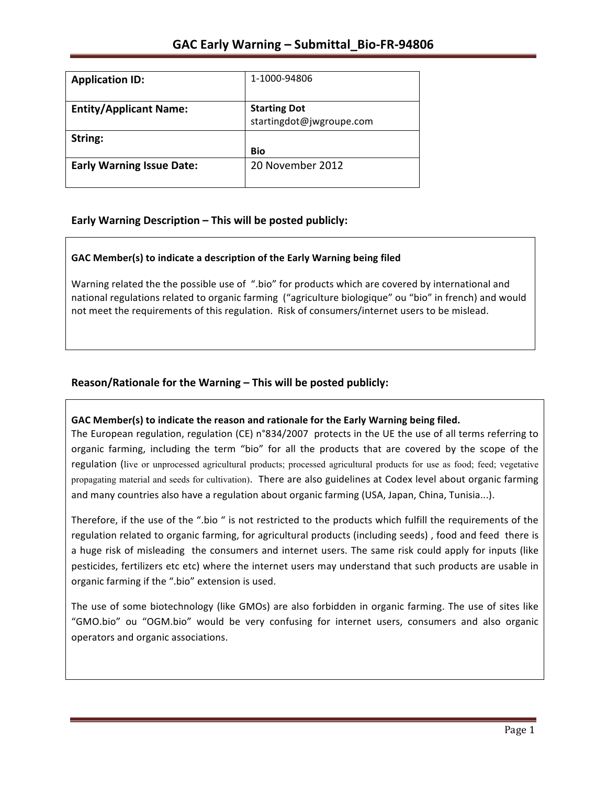| <b>Application ID:</b>           | 1-1000-94806                                    |
|----------------------------------|-------------------------------------------------|
| <b>Entity/Applicant Name:</b>    | <b>Starting Dot</b><br>startingdot@jwgroupe.com |
| String:                          | Bio                                             |
| <b>Early Warning Issue Date:</b> | 20 November 2012                                |

### **Early Warning Description – This will be posted publicly:**

#### **GAC Member(s) to indicate a description of the Early Warning being filed**

Warning related the the possible use of ".bio" for products which are covered by international and national regulations related to organic farming ("agriculture biologique" ou "bio" in french) and would not meet the requirements of this regulation. Risk of consumers/internet users to be mislead.

### Reason/Rationale for the Warning – This will be posted publicly:

#### GAC Member(s) to indicate the reason and rationale for the Early Warning being filed.

The European regulation, regulation (CE)  $n°834/2007$  protects in the UE the use of all terms referring to organic farming, including the term "bio" for all the products that are covered by the scope of the regulation (live or unprocessed agricultural products; processed agricultural products for use as food; feed; vegetative propagating material and seeds for cultivation). There are also guidelines at Codex level about organic farming and many countries also have a regulation about organic farming (USA, Japan, China, Tunisia...).

Therefore, if the use of the ".bio " is not restricted to the products which fulfill the requirements of the regulation related to organic farming, for agricultural products (including seeds), food and feed there is a huge risk of misleading the consumers and internet users. The same risk could apply for inputs (like pesticides, fertilizers etc etc) where the internet users may understand that such products are usable in organic farming if the ".bio" extension is used.

The use of some biotechnology (like GMOs) are also forbidden in organic farming. The use of sites like "GMO.bio" ou "OGM.bio" would be very confusing for internet users, consumers and also organic operators and organic associations.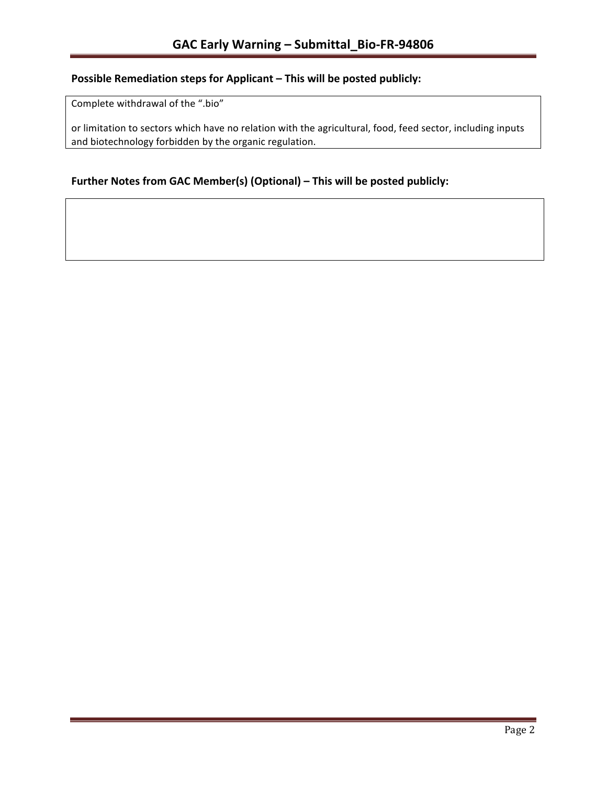## **Possible Remediation steps for Applicant – This will be posted publicly:**

Complete withdrawal of the ".bio"

or limitation to sectors which have no relation with the agricultural, food, feed sector, including inputs and biotechnology forbidden by the organic regulation.

### Further Notes from GAC Member(s) (Optional) – This will be posted publicly: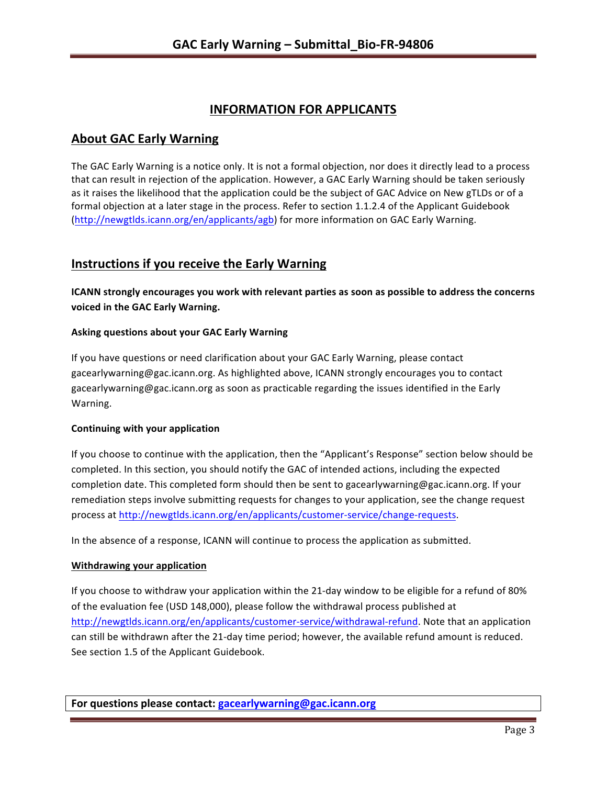# **INFORMATION FOR APPLICANTS**

## **About GAC Early Warning**

The GAC Early Warning is a notice only. It is not a formal objection, nor does it directly lead to a process that can result in rejection of the application. However, a GAC Early Warning should be taken seriously as it raises the likelihood that the application could be the subject of GAC Advice on New gTLDs or of a formal objection at a later stage in the process. Refer to section 1.1.2.4 of the Applicant Guidebook (http://newgtlds.icann.org/en/applicants/agb) for more information on GAC Early Warning.

## **Instructions if you receive the Early Warning**

**ICANN** strongly encourages you work with relevant parties as soon as possible to address the concerns **voiced in the GAC Early Warning.** 

#### **Asking questions about your GAC Early Warning**

If you have questions or need clarification about your GAC Early Warning, please contact gacearlywarning@gac.icann.org. As highlighted above, ICANN strongly encourages you to contact gacearlywarning@gac.icann.org as soon as practicable regarding the issues identified in the Early Warning. 

#### **Continuing with your application**

If you choose to continue with the application, then the "Applicant's Response" section below should be completed. In this section, you should notify the GAC of intended actions, including the expected completion date. This completed form should then be sent to gacearlywarning@gac.icann.org. If your remediation steps involve submitting requests for changes to your application, see the change request process at http://newgtlds.icann.org/en/applicants/customer-service/change-requests.

In the absence of a response, ICANN will continue to process the application as submitted.

#### **Withdrawing your application**

If you choose to withdraw your application within the 21-day window to be eligible for a refund of 80% of the evaluation fee (USD 148,000), please follow the withdrawal process published at http://newgtlds.icann.org/en/applicants/customer-service/withdrawal-refund. Note that an application can still be withdrawn after the 21-day time period; however, the available refund amount is reduced. See section 1.5 of the Applicant Guidebook.

**For questions please contact: gacearlywarning@gac.icann.org**